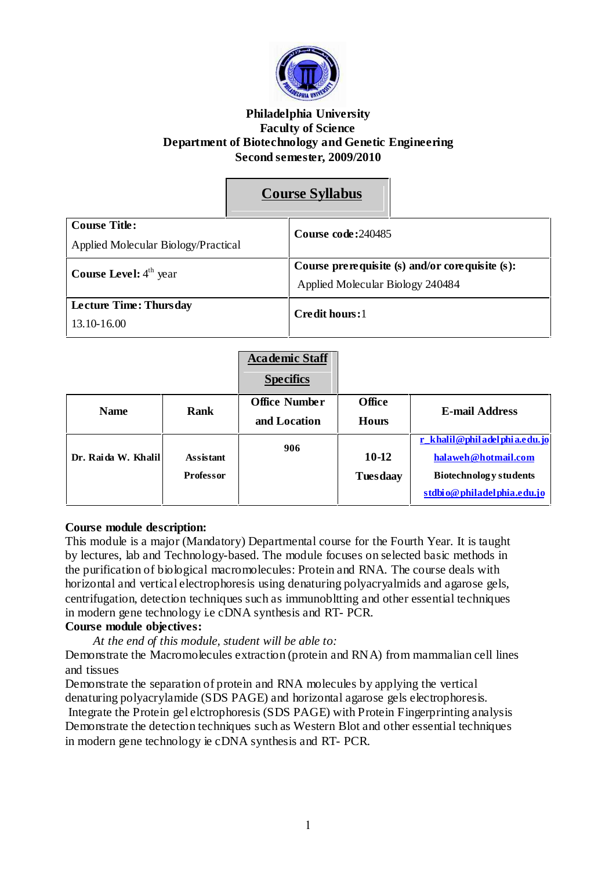

#### **Philadelphia University Faculty of Science Department of Biotechnology and Genetic Engineering Second semester, 2009/2010**

|                                     |  | <b>Course Syllabus</b>                           |  |
|-------------------------------------|--|--------------------------------------------------|--|
| <b>Course Title:</b>                |  | Course code: 240485                              |  |
| Applied Molecular Biology/Practical |  |                                                  |  |
| <b>Course Level:</b> $4th$ year     |  | Course pre requisite (s) and/or corequisite (s): |  |
|                                     |  | Applied Molecular Biology 240484                 |  |
| <b>Lecture Time: Thursday</b>       |  | Credit hours:1                                   |  |
| 13.10-16.00                         |  |                                                  |  |

|                                                             |                     | <b>Academic Staff</b><br><b>Specifics</b> |                               |                              |  |
|-------------------------------------------------------------|---------------------|-------------------------------------------|-------------------------------|------------------------------|--|
|                                                             | Rank<br><b>Name</b> | <b>Office Number</b>                      | <b>Office</b>                 | <b>E-mail Address</b>        |  |
|                                                             |                     | and Location                              | <b>Hours</b>                  |                              |  |
| Dr. Raida W. Khalil<br><b>Assistant</b><br><b>Professor</b> |                     | 906                                       |                               | r khalil@philadelphia.edu.jo |  |
|                                                             |                     |                                           | 10-12                         | halaweh@hotmail.com          |  |
|                                                             |                     | <b>Tuesdaay</b>                           | <b>Biotechnology</b> students |                              |  |
|                                                             |                     |                                           |                               | stdbio@philadelphia.edu.jo   |  |

#### **Course module description:**

This module is a major (Mandatory) Departmental course for the Fourth Year. It is taught by lectures, lab and Technology-based. The module focuses on selected basic methods in the purification of biological macromolecules: Protein and RNA. The course deals with horizontal and vertical electrophoresis using denaturing polyacryalmids and agarose gels, centrifugation, detection techniques such as immunobltting and other essential techniques in modern gene technology i.e cDNA synthesis and RT- PCR.

# **Course module objectives:**

*At the end of this module, student will be able to:*

Demonstrate the Macromolecules extraction (protein and RNA) from mammalian cell lines and tissues

Demonstrate the separation of protein and RNA molecules by applying the vertical denaturing polyacrylamide (SDS PAGE) and horizontal agarose gels electrophoresis.

Integrate the Protein gel elctrophoresis (SDS PAGE) with Protein Fingerprinting analysis Demonstrate the detection techniques such as Western Blot and other essential techniques in modern gene technology ie cDNA synthesis and RT- PCR.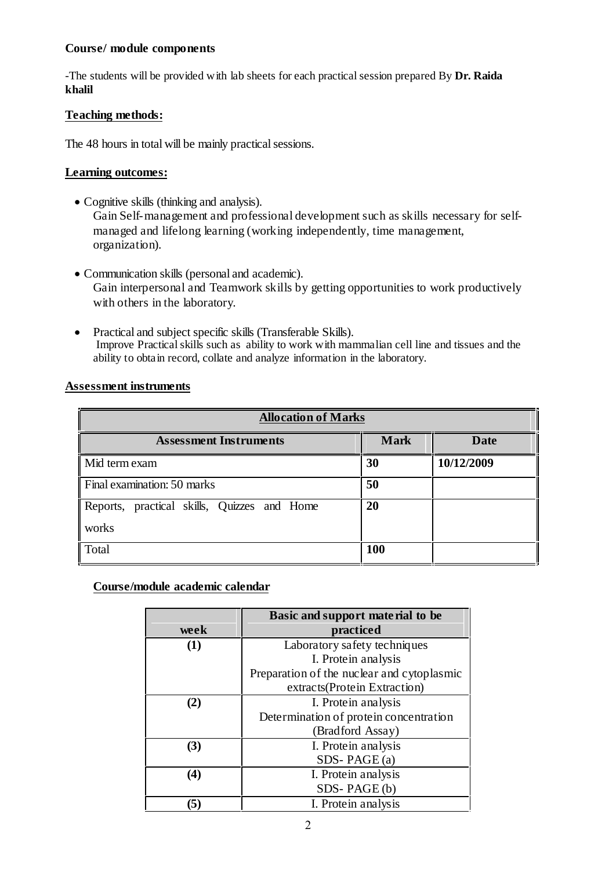# **Course/ module components**

-The students will be provided with lab sheets for each practicalsession prepared By **Dr. Raida khalil**

# **Teaching methods:**

The 48 hours in total will be mainly practical sessions.

# **Learning outcomes:**

- Cognitive skills (thinking and analysis). Gain Self-management and professional development such as skills necessary for selfmanaged and lifelong learning (working independently, time management, organization).
- Communication skills (personal and academic). Gain interpersonal and Teamwork skills by getting opportunities to work productively with others in the laboratory.
- Practical and subject specific skills (Transferable Skills). Improve Practicalskills such as ability to work with mammalian cell line and tissues and the ability to obtain record, collate and analyze information in the laboratory.

| <b>Allocation of Marks</b>                           |             |             |  |
|------------------------------------------------------|-------------|-------------|--|
| <b>Assessment Instruments</b>                        | <b>Mark</b> | <b>Date</b> |  |
| Mid term exam                                        | 30          | 10/12/2009  |  |
| Final examination: 50 marks                          | 50          |             |  |
| Reports, practical skills, Quizzes and Home<br>works | 20          |             |  |
| Total                                                | 100         |             |  |

# **Assessment instruments**

# **Course/module academic calendar**

|      | Basic and support material to be           |
|------|--------------------------------------------|
| week | practiced                                  |
| (1)  | Laboratory safety techniques               |
|      | I. Protein analysis                        |
|      | Preparation of the nuclear and cytoplasmic |
|      | extracts(Protein Extraction)               |
| (2)  | I. Protein analysis                        |
|      | Determination of protein concentration     |
|      | (Bradford Assay)                           |
| (3)  | I. Protein analysis                        |
|      | SDS-PAGE $(a)$                             |
| (4)  | I. Protein analysis                        |
|      | SDS-PAGE(b)                                |
|      | I. Protein analysis                        |